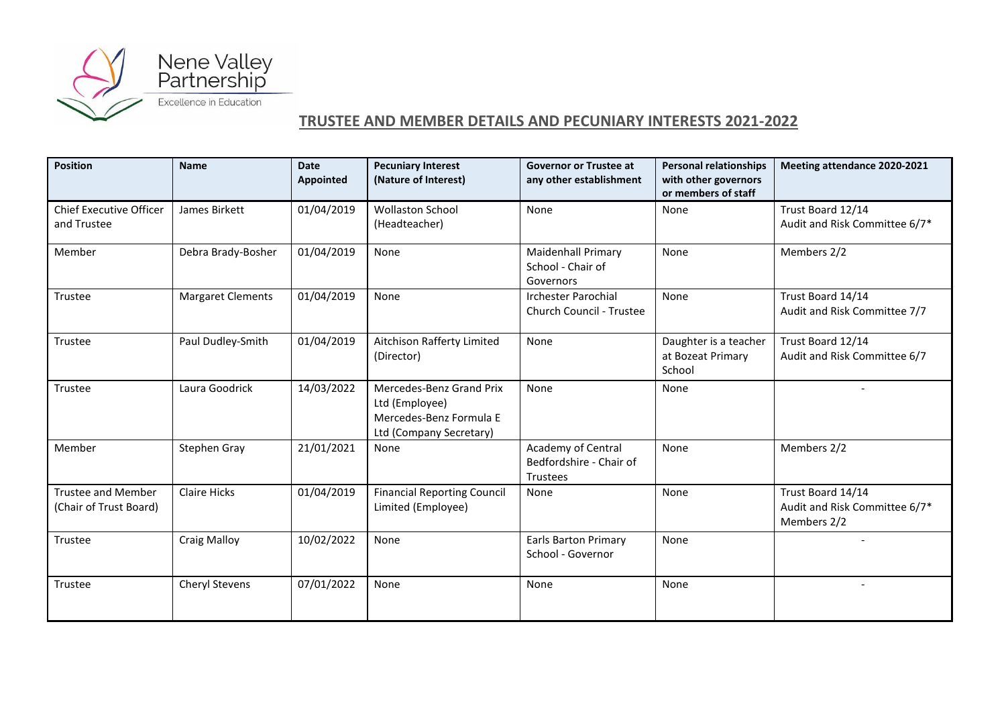

## **TRUSTEE AND MEMBER DETAILS AND PECUNIARY INTERESTS 2021-2022**

| <b>Position</b>                                     | <b>Name</b>              | <b>Date</b><br><b>Appointed</b> | <b>Pecuniary Interest</b><br>(Nature of Interest)                                                | <b>Governor or Trustee at</b><br>any other establishment    | <b>Personal relationships</b><br>with other governors<br>or members of staff | Meeting attendance 2020-2021                                      |
|-----------------------------------------------------|--------------------------|---------------------------------|--------------------------------------------------------------------------------------------------|-------------------------------------------------------------|------------------------------------------------------------------------------|-------------------------------------------------------------------|
| <b>Chief Executive Officer</b><br>and Trustee       | James Birkett            | 01/04/2019                      | <b>Wollaston School</b><br>(Headteacher)                                                         | None                                                        | None                                                                         | Trust Board 12/14<br>Audit and Risk Committee 6/7*                |
| Member                                              | Debra Brady-Bosher       | 01/04/2019                      | None                                                                                             | <b>Maidenhall Primary</b><br>School - Chair of<br>Governors | None                                                                         | Members 2/2                                                       |
| Trustee                                             | <b>Margaret Clements</b> | 01/04/2019                      | None                                                                                             | <b>Irchester Parochial</b><br>Church Council - Trustee      | None                                                                         | Trust Board 14/14<br>Audit and Risk Committee 7/7                 |
| Trustee                                             | Paul Dudley-Smith        | 01/04/2019                      | Aitchison Rafferty Limited<br>(Director)                                                         | None                                                        | Daughter is a teacher<br>at Bozeat Primary<br>School                         | Trust Board 12/14<br>Audit and Risk Committee 6/7                 |
| Trustee                                             | Laura Goodrick           | 14/03/2022                      | Mercedes-Benz Grand Prix<br>Ltd (Employee)<br>Mercedes-Benz Formula E<br>Ltd (Company Secretary) | None                                                        | None                                                                         |                                                                   |
| Member                                              | Stephen Gray             | 21/01/2021                      | None                                                                                             | Academy of Central<br>Bedfordshire - Chair of<br>Trustees   | None                                                                         | Members 2/2                                                       |
| <b>Trustee and Member</b><br>(Chair of Trust Board) | <b>Claire Hicks</b>      | 01/04/2019                      | <b>Financial Reporting Council</b><br>Limited (Employee)                                         | None                                                        | None                                                                         | Trust Board 14/14<br>Audit and Risk Committee 6/7*<br>Members 2/2 |
| Trustee                                             | <b>Craig Malloy</b>      | 10/02/2022                      | None                                                                                             | <b>Earls Barton Primary</b><br>School - Governor            | None                                                                         | $\overline{a}$                                                    |
| Trustee                                             | Cheryl Stevens           | 07/01/2022                      | None                                                                                             | None                                                        | None                                                                         |                                                                   |